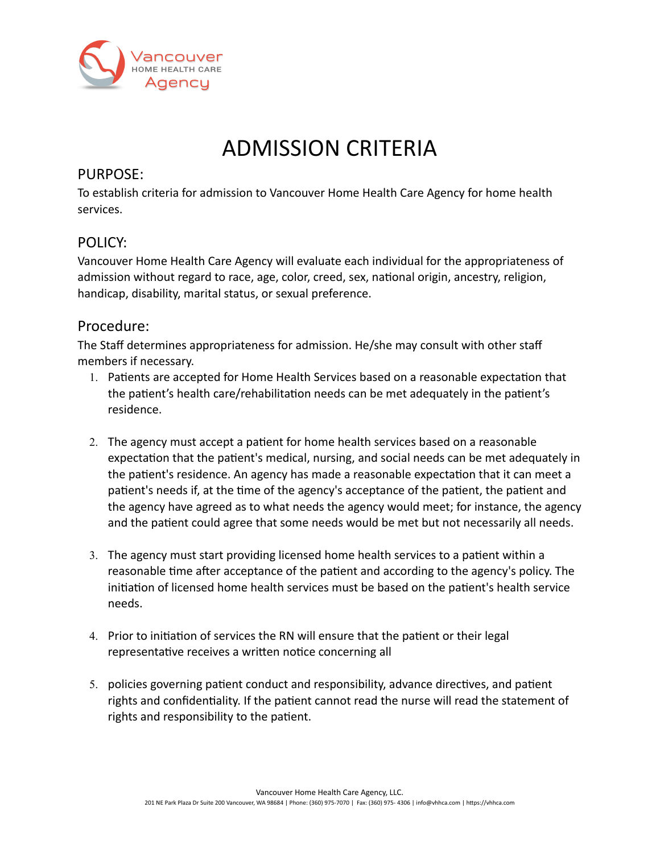

## ADMISSION CRITERIA

## PURPOSE:

To establish criteria for admission to Vancouver Home Health Care Agency for home health services.

## POLICY:

Vancouver Home Health Care Agency will evaluate each individual for the appropriateness of admission without regard to race, age, color, creed, sex, national origin, ancestry, religion, handicap, disability, marital status, or sexual preference.

## Procedure:

The Staff determines appropriateness for admission. He/she may consult with other staff members if necessary.

- 1. Patients are accepted for Home Health Services based on a reasonable expectation that the patient's health care/rehabilitation needs can be met adequately in the patient's residence.
- 2. The agency must accept a patient for home health services based on a reasonable expectation that the patient's medical, nursing, and social needs can be met adequately in the patient's residence. An agency has made a reasonable expectation that it can meet a patient's needs if, at the time of the agency's acceptance of the patient, the patient and the agency have agreed as to what needs the agency would meet; for instance, the agency and the patient could agree that some needs would be met but not necessarily all needs.
- 3. The agency must start providing licensed home health services to a patient within a reasonable time after acceptance of the patient and according to the agency's policy. The initiation of licensed home health services must be based on the patient's health service needs.
- 4. Prior to initiation of services the RN will ensure that the patient or their legal representative receives a written notice concerning all
- 5. policies governing patient conduct and responsibility, advance directives, and patient rights and confidentiality. If the patient cannot read the nurse will read the statement of rights and responsibility to the patient.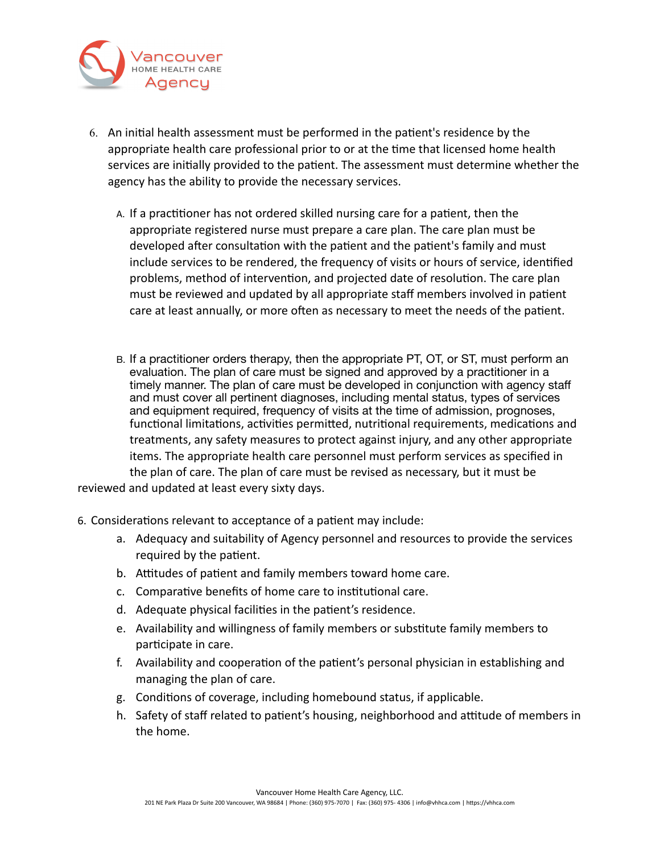

- 6. An initial health assessment must be performed in the patient's residence by the appropriate health care professional prior to or at the time that licensed home health services are initially provided to the patient. The assessment must determine whether the agency has the ability to provide the necessary services.
	- A. If a practitioner has not ordered skilled nursing care for a patient, then the appropriate registered nurse must prepare a care plan. The care plan must be developed after consultation with the patient and the patient's family and must include services to be rendered, the frequency of visits or hours of service, identified problems, method of intervention, and projected date of resolution. The care plan must be reviewed and updated by all appropriate staff members involved in patient care at least annually, or more often as necessary to meet the needs of the patient.
- B. If a practitioner orders therapy, then the appropriate PT, OT, or ST, must perform an evaluation. The plan of care must be signed and approved by a practitioner in a timely manner. The plan of care must be developed in conjunction with agency staff and must cover all pertinent diagnoses, including mental status, types of services and equipment required, frequency of visits at the time of admission, prognoses, functional limitations, activities permitted, nutritional requirements, medications and treatments, any safety measures to protect against injury, and any other appropriate items. The appropriate health care personnel must perform services as specified in the plan of care. The plan of care must be revised as necessary, but it must be reviewed and updated at least every sixty days.
- 6. Considerations relevant to acceptance of a patient may include:
	- a. Adequacy and suitability of Agency personnel and resources to provide the services required by the patient.
	- b. Attitudes of patient and family members toward home care.
	- c. Comparative benefits of home care to institutional care.
	- d. Adequate physical facilities in the patient's residence.
	- e. Availability and willingness of family members or substitute family members to participate in care.
	- f. Availability and cooperation of the patient's personal physician in establishing and managing the plan of care.
	- g. Conditions of coverage, including homebound status, if applicable.
	- h. Safety of staff related to patient's housing, neighborhood and attitude of members in the home.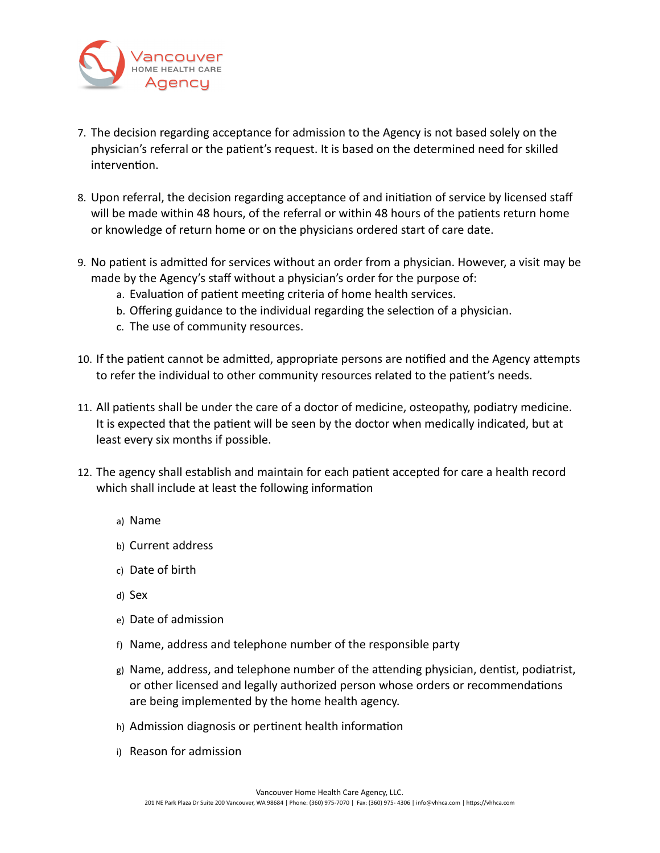

- 7. The decision regarding acceptance for admission to the Agency is not based solely on the physician's referral or the patient's request. It is based on the determined need for skilled intervention.
- 8. Upon referral, the decision regarding acceptance of and initiation of service by licensed staff will be made within 48 hours, of the referral or within 48 hours of the patients return home or knowledge of return home or on the physicians ordered start of care date.
- 9. No patient is admitted for services without an order from a physician. However, a visit may be made by the Agency's staff without a physician's order for the purpose of:
	- a. Evaluation of patient meeting criteria of home health services.
	- b. Offering guidance to the individual regarding the selection of a physician.
	- c. The use of community resources.
- 10. If the patient cannot be admitted, appropriate persons are notified and the Agency attempts to refer the individual to other community resources related to the patient's needs.
- 11. All patients shall be under the care of a doctor of medicine, osteopathy, podiatry medicine. It is expected that the patient will be seen by the doctor when medically indicated, but at least every six months if possible.
- 12. The agency shall establish and maintain for each patient accepted for care a health record which shall include at least the following information
	- a) Name
	- b) Current address
	- c) Date of birth
	- d) Sex
	- e) Date of admission
	- f) Name, address and telephone number of the responsible party
	- g) Name, address, and telephone number of the attending physician, dentist, podiatrist, or other licensed and legally authorized person whose orders or recommendations are being implemented by the home health agency.
	- h) Admission diagnosis or pertinent health information
	- i) Reason for admission